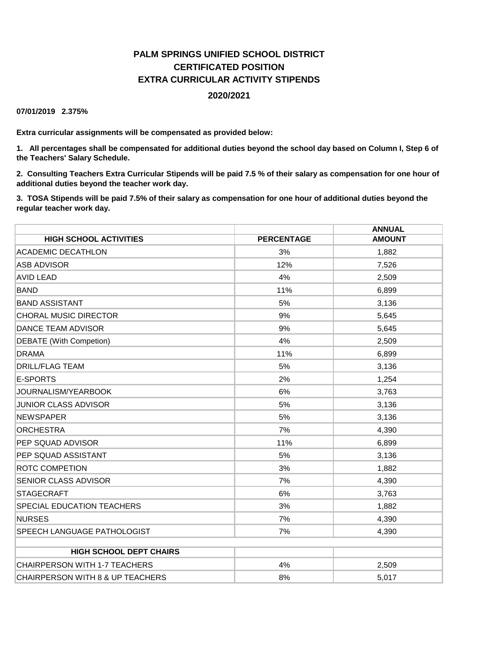# **PALM SPRINGS UNIFIED SCHOOL DISTRICT CERTIFICATED POSITION EXTRA CURRICULAR ACTIVITY STIPENDS 2020/2021**

**07/01/2019 2.375%**

**Extra curricular assignments will be compensated as provided below:**

**1. All percentages shall be compensated for additional duties beyond the school day based on Column I, Step 6 of the Teachers' Salary Schedule.**

**2. Consulting Teachers Extra Curricular Stipends will be paid 7.5 % of their salary as compensation for one hour of additional duties beyond the teacher work day.**

**3. TOSA Stipends will be paid 7.5% of their salary as compensation for one hour of additional duties beyond the regular teacher work day.**

|                                      |                   | <b>ANNUAL</b> |
|--------------------------------------|-------------------|---------------|
| <b>HIGH SCHOOL ACTIVITIES</b>        | <b>PERCENTAGE</b> | <b>AMOUNT</b> |
| <b>ACADEMIC DECATHLON</b>            | 3%                | 1,882         |
| <b>ASB ADVISOR</b>                   | 12%               | 7,526         |
| <b>AVID LEAD</b>                     | 4%                | 2,509         |
| <b>BAND</b>                          | 11%               | 6,899         |
| <b>BAND ASSISTANT</b>                | 5%                | 3,136         |
| <b>CHORAL MUSIC DIRECTOR</b>         | 9%                | 5,645         |
| <b>DANCE TEAM ADVISOR</b>            | 9%                | 5,645         |
| <b>DEBATE</b> (With Competion)       | 4%                | 2,509         |
| <b>DRAMA</b>                         | 11%               | 6,899         |
| <b>DRILL/FLAG TEAM</b>               | 5%                | 3,136         |
| E-SPORTS                             | 2%                | 1,254         |
| JOURNALISM/YEARBOOK                  | 6%                | 3,763         |
| <b>JUNIOR CLASS ADVISOR</b>          | 5%                | 3,136         |
| <b>NEWSPAPER</b>                     | 5%                | 3,136         |
| <b>ORCHESTRA</b>                     | 7%                | 4,390         |
| <b>PEP SQUAD ADVISOR</b>             | 11%               | 6,899         |
| PEP SQUAD ASSISTANT                  | 5%                | 3,136         |
| <b>ROTC COMPETION</b>                | 3%                | 1,882         |
| <b>SENIOR CLASS ADVISOR</b>          | 7%                | 4,390         |
| <b>STAGECRAFT</b>                    | 6%                | 3,763         |
| <b>SPECIAL EDUCATION TEACHERS</b>    | 3%                | 1,882         |
| <b>NURSES</b>                        | 7%                | 4,390         |
| <b>SPEECH LANGUAGE PATHOLOGIST</b>   | 7%                | 4,390         |
|                                      |                   |               |
| <b>HIGH SCHOOL DEPT CHAIRS</b>       |                   |               |
| <b>CHAIRPERSON WITH 1-7 TEACHERS</b> | 4%                | 2,509         |
| CHAIRPERSON WITH 8 & UP TEACHERS     | 8%                | 5,017         |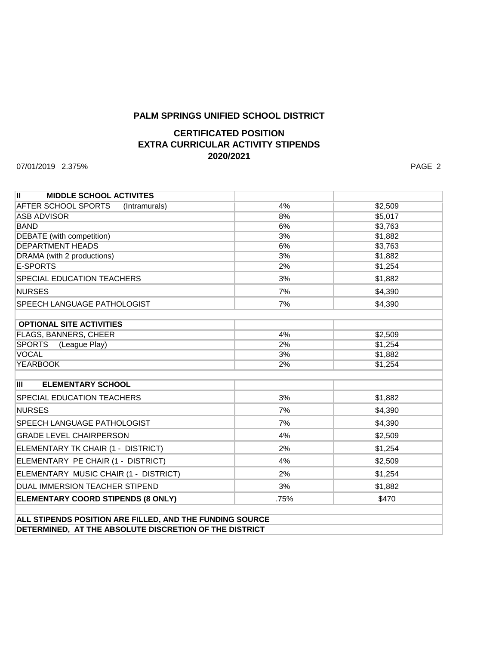## **PALM SPRINGS UNIFIED SCHOOL DISTRICT**

# **CERTIFICATED POSITION EXTRA CURRICULAR ACTIVITY STIPENDS 2020/2021**

07/01/2019 2.375% PAGE 2

| H.<br><b>MIDDLE SCHOOL ACTIVITES</b>  |      |         |
|---------------------------------------|------|---------|
| AFTER SCHOOL SPORTS<br>(Intramurals)  | 4%   | \$2,509 |
| <b>ASB ADVISOR</b>                    | 8%   | \$5,017 |
| <b>BAND</b>                           | 6%   | \$3,763 |
| <b>DEBATE</b> (with competition)      | 3%   | \$1,882 |
| <b>DEPARTMENT HEADS</b>               | 6%   | \$3,763 |
| DRAMA (with 2 productions)            | 3%   | \$1,882 |
| <b>E-SPORTS</b>                       | 2%   | \$1,254 |
| <b>SPECIAL EDUCATION TEACHERS</b>     | 3%   | \$1,882 |
| <b>NURSES</b>                         | 7%   | \$4,390 |
| <b>SPEECH LANGUAGE PATHOLOGIST</b>    | 7%   | \$4,390 |
|                                       |      |         |
| <b>OPTIONAL SITE ACTIVITIES</b>       |      |         |
| <b>FLAGS, BANNERS, CHEER</b>          | 4%   | \$2,509 |
| <b>SPORTS</b><br>(League Play)        | 2%   | \$1,254 |
| <b>VOCAL</b>                          | 3%   | \$1,882 |
| <b>YEARBOOK</b>                       | 2%   | \$1,254 |
|                                       |      |         |
| Ш<br><b>ELEMENTARY SCHOOL</b>         |      |         |
| <b>SPECIAL EDUCATION TEACHERS</b>     | 3%   | \$1,882 |
| <b>NURSES</b>                         | 7%   | \$4,390 |
| <b>SPEECH LANGUAGE PATHOLOGIST</b>    | 7%   | \$4,390 |
| <b>GRADE LEVEL CHAIRPERSON</b>        | 4%   | \$2,509 |
| ELEMENTARY TK CHAIR (1 - DISTRICT)    | 2%   | \$1,254 |
| ELEMENTARY PE CHAIR (1 - DISTRICT)    | 4%   | \$2,509 |
| ELEMENTARY MUSIC CHAIR (1 - DISTRICT) | 2%   | \$1,254 |
| <b>DUAL IMMERSION TEACHER STIPEND</b> | 3%   | \$1,882 |
| ELEMENTARY COORD STIPENDS (8 ONLY)    | .75% | \$470   |
|                                       |      |         |

**ALL STIPENDS POSITION ARE FILLED, AND THE FUNDING SOURCE DETERMINED, AT THE ABSOLUTE DISCRETION OF THE DISTRICT**